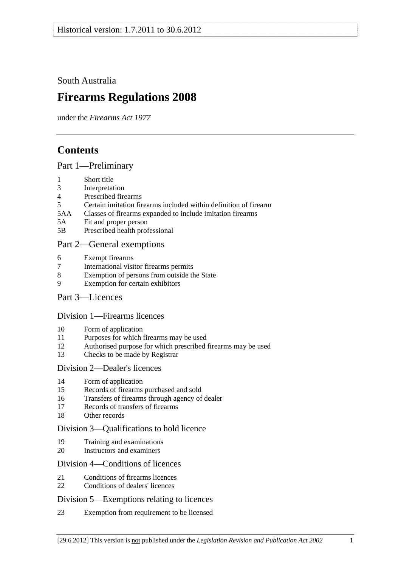<span id="page-0-0"></span>South Australia

# **Firearms Regulations 2008**

under the *Firearms Act 1977*

## **Contents**

[Part 1—Preliminary](#page-2-0)

- [1 Short title](#page-2-0)
- [3 Interpretation](#page-2-0)
- [4 Prescribed firearms](#page-3-0)
- [5 Certain imitation firearms included within definition of firearm](#page-3-0)
- [5AA Classes of firearms expanded to include imitation firearms](#page-4-0)
- [5A Fit and proper person](#page-4-0)
- [5B Prescribed health professional](#page-5-0)

### [Part 2—General exemptions](#page-5-0)

- [6 Exempt firearms](#page-5-0)
- [7 International visitor firearms permits](#page-6-0)
- [8 Exemption of persons from outside the State](#page-7-0)
- [9 Exemption for certain exhibitors](#page-7-0)
- [Part 3—Licences](#page-8-0)

#### [Division 1—Firearms licences](#page-8-0)

- [10 Form of application](#page-8-0)
- [11 Purposes for which firearms may be used](#page-8-0)
- [12 Authorised purpose for which prescribed firearms may be used](#page-9-0)
- [13 Checks to be made by Registrar](#page-9-0)

#### [Division 2—Dealer's licences](#page-9-0)

- [14 Form of application](#page-9-0)
- [15 Records of firearms purchased and sold](#page-9-0)
- [16 Transfers of firearms through agency of dealer](#page-9-0)
- [17 Records of transfers of firearms](#page-10-0)
- [18 Other records](#page-10-0)

#### [Division 3—Qualifications to hold licence](#page-10-0)

- [19 Training and examinations](#page-10-0)
- [20 Instructors and examiners](#page-11-0)

#### [Division 4—Conditions of licences](#page-11-0)

- [21 Conditions of firearms licences](#page-11-0)
- [22 Conditions of dealers' licences](#page-14-0)

#### [Division 5—Exemptions relating to licences](#page-16-0)

[23 Exemption from requirement to be licensed](#page-16-0)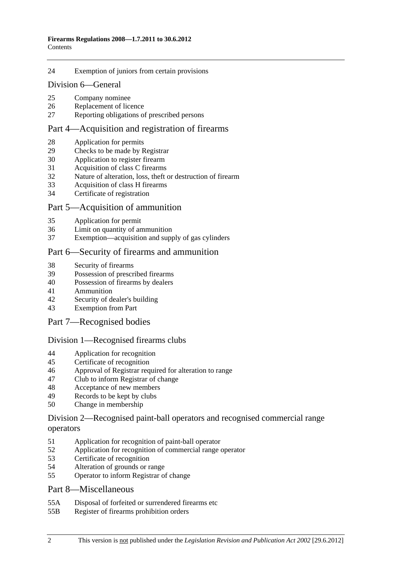#### [24 Exemption of juniors from certain provisions](#page-17-0)

#### [Division 6—General](#page-18-0)

- [25 Company nominee](#page-18-0)
- [26 Replacement of licence](#page-18-0)
- [27 Reporting obligations of prescribed persons](#page-18-0)

#### [Part 4—Acquisition and registration of firearms](#page-18-0)

- [28 Application for permits](#page-18-0)
- [29 Checks to be made by Registrar](#page-19-0)
- [30 Application to register firearm](#page-19-0)
- [31 Acquisition of class C firearms](#page-19-0)
- [32 Nature of alteration, loss, theft or destruction of firearm](#page-19-0)
- [33 Acquisition of class H firearms](#page-19-0)
- [34 Certificate of registration](#page-20-0)

#### [Part 5—Acquisition of ammunition](#page-20-0)

- [35 Application for permit](#page-20-0)
- [36 Limit on quantity of ammunition](#page-20-0)
- [37 Exemption—acquisition and supply of gas cylinders](#page-21-0)

#### [Part 6—Security of firearms and ammunition](#page-21-0)

- [38 Security of firearms](#page-21-0)
- [39 Possession of prescribed firearms](#page-21-0)
- [40 Possession of firearms by dealers](#page-21-0)
- [41 Ammunition](#page-22-0)
- [42 Security of dealer's building](#page-22-0)
- [43 Exemption from Part](#page-22-0)

#### [Part 7—Recognised bodies](#page-22-0)

#### [Division 1—Recognised firearms clubs](#page-22-0)

- [44 Application for recognition](#page-22-0)
- [45 Certificate of recognition](#page-23-0)
- [46 Approval of Registrar required for alteration to range](#page-23-0)
- [47 Club to inform Registrar of change](#page-23-0)
- [48 Acceptance of new members](#page-24-0)
- [49 Records to be kept by clubs](#page-24-0)
- [50 Change in membership](#page-24-0)

#### [Division 2—Recognised paint-ball operators and recognised commercial range](#page-25-0)  [operators](#page-25-0)

- [51 Application for recognition of paint-ball operator](#page-25-0)
- [52 Application for recognition of commercial range operator](#page-25-0)
- [53 Certificate of recognition](#page-26-0)
- [54 Alteration of grounds or range](#page-26-0)
- [55 Operator to inform Registrar of change](#page-26-0)

#### [Part 8—Miscellaneous](#page-27-0)

- [55A Disposal of forfeited or surrendered firearms etc](#page-27-0)
- [55B Register of firearms prohibition orders](#page-27-0)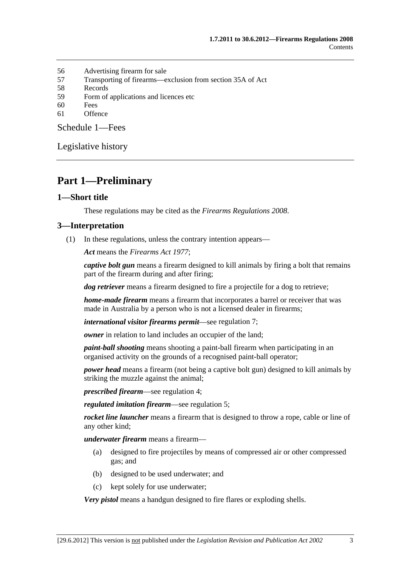- <span id="page-2-0"></span>[56 Advertising firearm for sale](#page-27-0)
- [57 Transporting of firearms—exclusion from section 35A of Act](#page-27-0)
- [58 Records](#page-28-0)
- [59 Form of applications and licences etc](#page-28-0)
- [60 Fees](#page-28-0)
- [61 Offence](#page-28-0)

[Schedule 1—Fees](#page-28-0) 

[Legislative history](#page-30-0) 

## **Part 1—Preliminary**

#### **1—Short title**

These regulations may be cited as the *Firearms Regulations 2008*.

#### **3—Interpretation**

(1) In these regulations, unless the contrary intention appears—

*Act* means the *[Firearms Act 1977](http://www.legislation.sa.gov.au/index.aspx?action=legref&type=act&legtitle=Firearms%20Act%201977)*;

*captive bolt gun* means a firearm designed to kill animals by firing a bolt that remains part of the firearm during and after firing;

*dog retriever* means a firearm designed to fire a projectile for a dog to retrieve;

*home-made firearm* means a firearm that incorporates a barrel or receiver that was made in Australia by a person who is not a licensed dealer in firearms;

*international visitor firearms permit*—see [regulation 7;](#page-6-0)

*owner* in relation to land includes an occupier of the land;

*paint-ball shooting* means shooting a paint-ball firearm when participating in an organised activity on the grounds of a recognised paint-ball operator;

*power head* means a firearm (not being a captive bolt gun) designed to kill animals by striking the muzzle against the animal;

*prescribed firearm*—see [regulation 4;](#page-3-0)

*regulated imitation firearm*—see [regulation 5](#page-0-0);

*rocket line launcher* means a firearm that is designed to throw a rope, cable or line of any other kind;

*underwater firearm* means a firearm—

- (a) designed to fire projectiles by means of compressed air or other compressed gas; and
- (b) designed to be used underwater; and
- (c) kept solely for use underwater;

*Very pistol* means a handgun designed to fire flares or exploding shells.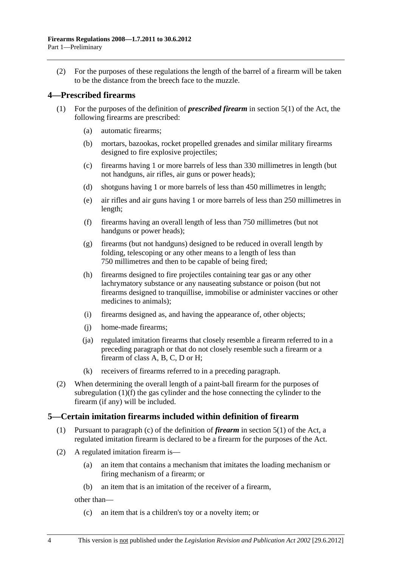<span id="page-3-0"></span> (2) For the purposes of these regulations the length of the barrel of a firearm will be taken to be the distance from the breech face to the muzzle.

#### **4—Prescribed firearms**

- (1) For the purposes of the definition of *prescribed firearm* in section 5(1) of the Act, the following firearms are prescribed:
	- (a) automatic firearms;
	- (b) mortars, bazookas, rocket propelled grenades and similar military firearms designed to fire explosive projectiles;
	- (c) firearms having 1 or more barrels of less than 330 millimetres in length (but not handguns, air rifles, air guns or power heads);
	- (d) shotguns having 1 or more barrels of less than 450 millimetres in length;
	- (e) air rifles and air guns having 1 or more barrels of less than 250 millimetres in length;
	- (f) firearms having an overall length of less than 750 millimetres (but not handguns or power heads);
	- (g) firearms (but not handguns) designed to be reduced in overall length by folding, telescoping or any other means to a length of less than 750 millimetres and then to be capable of being fired;
	- (h) firearms designed to fire projectiles containing tear gas or any other lachrymatory substance or any nauseating substance or poison (but not firearms designed to tranquillise, immobilise or administer vaccines or other medicines to animals);
	- (i) firearms designed as, and having the appearance of, other objects;
	- (j) home-made firearms;
	- (ja) regulated imitation firearms that closely resemble a firearm referred to in a preceding paragraph or that do not closely resemble such a firearm or a firearm of class A, B, C, D or H;
	- (k) receivers of firearms referred to in a preceding paragraph.
- (2) When determining the overall length of a paint-ball firearm for the purposes of [subregulation \(1\)\(f\)](#page-3-0) the gas cylinder and the hose connecting the cylinder to the firearm (if any) will be included.

#### **5—Certain imitation firearms included within definition of firearm**

- (1) Pursuant to paragraph (c) of the definition of *firearm* in section 5(1) of the Act, a regulated imitation firearm is declared to be a firearm for the purposes of the Act.
- (2) A regulated imitation firearm is—
	- (a) an item that contains a mechanism that imitates the loading mechanism or firing mechanism of a firearm; or
	- (b) an item that is an imitation of the receiver of a firearm,

other than—

(c) an item that is a children's toy or a novelty item; or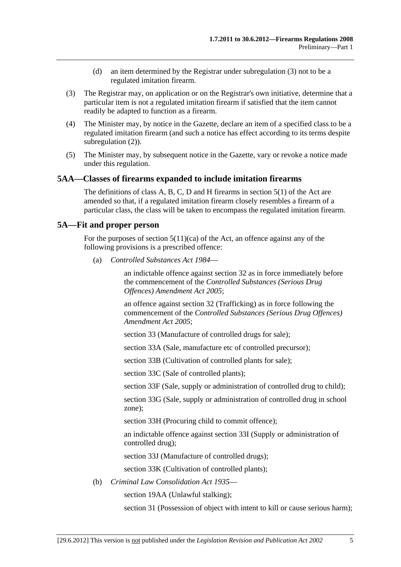- (d) an item determined by the Registrar under [subregulation \(3\)](#page-4-0) not to be a regulated imitation firearm.
- <span id="page-4-0"></span> (3) The Registrar may, on application or on the Registrar's own initiative, determine that a particular item is not a regulated imitation firearm if satisfied that the item cannot readily be adapted to function as a firearm.
- (4) The Minister may, by notice in the Gazette, declare an item of a specified class to be a regulated imitation firearm (and such a notice has effect according to its terms despite [subregulation \(2\)\)](#page-3-0).
- (5) The Minister may, by subsequent notice in the Gazette, vary or revoke a notice made under this regulation.

#### **5AA—Classes of firearms expanded to include imitation firearms**

The definitions of class A, B, C, D and H firearms in section 5(1) of the Act are amended so that, if a regulated imitation firearm closely resembles a firearm of a particular class, the class will be taken to encompass the regulated imitation firearm.

#### **5A—Fit and proper person**

For the purposes of section  $5(11)(ca)$  of the Act, an offence against any of the following provisions is a prescribed offence:

(a) *[Controlled Substances Act 1984](http://www.legislation.sa.gov.au/index.aspx?action=legref&type=act&legtitle=Controlled%20Substances%20Act%201984)*—

an indictable offence against section 32 as in force immediately before the commencement of the *[Controlled Substances \(Serious Drug](http://www.legislation.sa.gov.au/index.aspx?action=legref&type=act&legtitle=Controlled%20Substances%20(Serious%20Drug%20Offences)%20Amendment%20Act%202005)  [Offences\) Amendment Act 2005](http://www.legislation.sa.gov.au/index.aspx?action=legref&type=act&legtitle=Controlled%20Substances%20(Serious%20Drug%20Offences)%20Amendment%20Act%202005)*;

an offence against section 32 (Trafficking) as in force following the commencement of the *[Controlled Substances \(Serious Drug Offences\)](http://www.legislation.sa.gov.au/index.aspx?action=legref&type=act&legtitle=Controlled%20Substances%20(Serious%20Drug%20Offences)%20Amendment%20Act%202005)  [Amendment Act 2005](http://www.legislation.sa.gov.au/index.aspx?action=legref&type=act&legtitle=Controlled%20Substances%20(Serious%20Drug%20Offences)%20Amendment%20Act%202005)*;

section 33 (Manufacture of controlled drugs for sale);

section 33A (Sale, manufacture etc of controlled precursor);

section 33B (Cultivation of controlled plants for sale);

section 33C (Sale of controlled plants);

section 33F (Sale, supply or administration of controlled drug to child);

section 33G (Sale, supply or administration of controlled drug in school zone);

section 33H (Procuring child to commit offence);

an indictable offence against section 33I (Supply or administration of controlled drug);

section 33J (Manufacture of controlled drugs);

section 33K (Cultivation of controlled plants);

(b) *[Criminal Law Consolidation Act 1935](http://www.legislation.sa.gov.au/index.aspx?action=legref&type=act&legtitle=Criminal%20Law%20Consolidation%20Act%201935)*—

section 19AA (Unlawful stalking);

section 31 (Possession of object with intent to kill or cause serious harm);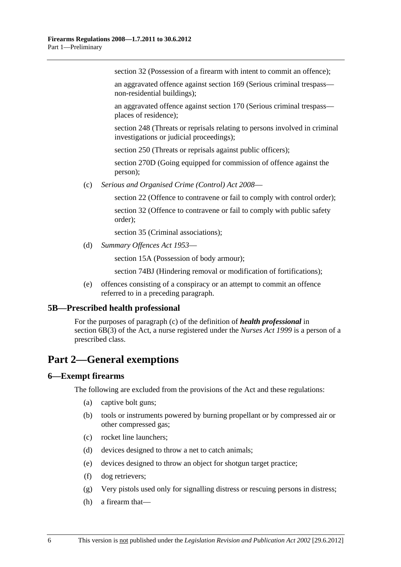<span id="page-5-0"></span>section 32 (Possession of a firearm with intent to commit an offence);

an aggravated offence against section 169 (Serious criminal trespass non-residential buildings);

an aggravated offence against section 170 (Serious criminal trespass places of residence);

section 248 (Threats or reprisals relating to persons involved in criminal investigations or judicial proceedings);

section 250 (Threats or reprisals against public officers);

section 270D (Going equipped for commission of offence against the person);

(c) *[Serious and Organised Crime \(Control\) Act 2008](http://www.legislation.sa.gov.au/index.aspx?action=legref&type=act&legtitle=Serious%20and%20Organised%20Crime%20(Control)%20Act%202008)*—

section 22 (Offence to contravene or fail to comply with control order);

section 32 (Offence to contravene or fail to comply with public safety order);

section 35 (Criminal associations):

(d) *[Summary Offences Act 1953](http://www.legislation.sa.gov.au/index.aspx?action=legref&type=act&legtitle=Summary%20Offences%20Act%201953)*—

section 15A (Possession of body armour);

section 74BJ (Hindering removal or modification of fortifications);

 (e) offences consisting of a conspiracy or an attempt to commit an offence referred to in a preceding paragraph.

#### **5B—Prescribed health professional**

For the purposes of paragraph (c) of the definition of *health professional* in section 6B(3) of the Act, a nurse registered under the *[Nurses Act 1999](http://www.legislation.sa.gov.au/index.aspx?action=legref&type=act&legtitle=Nurses%20Act%201999)* is a person of a prescribed class.

## **Part 2—General exemptions**

#### **6—Exempt firearms**

The following are excluded from the provisions of the Act and these regulations:

- (a) captive bolt guns;
- (b) tools or instruments powered by burning propellant or by compressed air or other compressed gas;
- (c) rocket line launchers;
- (d) devices designed to throw a net to catch animals;
- (e) devices designed to throw an object for shotgun target practice;
- (f) dog retrievers;
- (g) Very pistols used only for signalling distress or rescuing persons in distress;
- (h) a firearm that—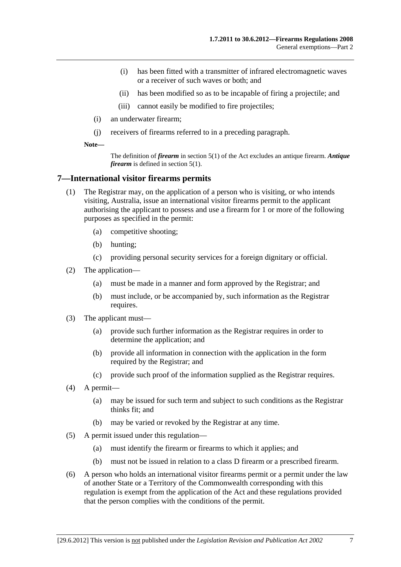- <span id="page-6-0"></span> (i) has been fitted with a transmitter of infrared electromagnetic waves or a receiver of such waves or both; and
- (ii) has been modified so as to be incapable of firing a projectile; and
- (iii) cannot easily be modified to fire projectiles;
- (i) an underwater firearm;
- (j) receivers of firearms referred to in a preceding paragraph.

**Note—** 

The definition of *firearm* in section 5(1) of the Act excludes an antique firearm. *Antique firearm* is defined in section 5(1).

#### **7—International visitor firearms permits**

- (1) The Registrar may, on the application of a person who is visiting, or who intends visiting, Australia, issue an international visitor firearms permit to the applicant authorising the applicant to possess and use a firearm for 1 or more of the following purposes as specified in the permit:
	- (a) competitive shooting;
	- (b) hunting;
	- (c) providing personal security services for a foreign dignitary or official.
- (2) The application—
	- (a) must be made in a manner and form approved by the Registrar; and
	- (b) must include, or be accompanied by, such information as the Registrar requires.
- (3) The applicant must—
	- (a) provide such further information as the Registrar requires in order to determine the application; and
	- (b) provide all information in connection with the application in the form required by the Registrar; and
	- (c) provide such proof of the information supplied as the Registrar requires.
- (4) A permit—
	- (a) may be issued for such term and subject to such conditions as the Registrar thinks fit; and
	- (b) may be varied or revoked by the Registrar at any time.
- (5) A permit issued under this regulation—
	- (a) must identify the firearm or firearms to which it applies; and
	- (b) must not be issued in relation to a class D firearm or a prescribed firearm.
- (6) A person who holds an international visitor firearms permit or a permit under the law of another State or a Territory of the Commonwealth corresponding with this regulation is exempt from the application of the Act and these regulations provided that the person complies with the conditions of the permit.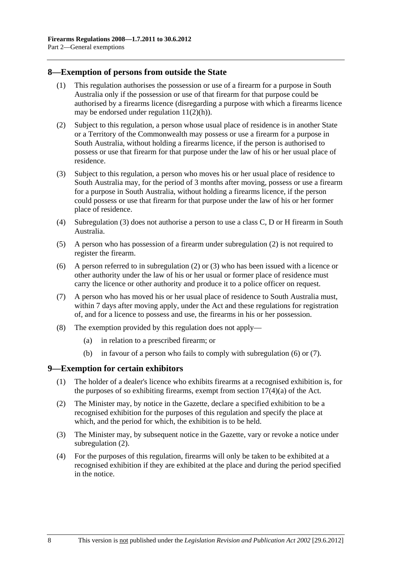#### <span id="page-7-0"></span>**8—Exemption of persons from outside the State**

- (1) This regulation authorises the possession or use of a firearm for a purpose in South Australia only if the possession or use of that firearm for that purpose could be authorised by a firearms licence (disregarding a purpose with which a firearms licence may be endorsed under regulation  $11(2)(h)$ ).
- (2) Subject to this regulation, a person whose usual place of residence is in another State or a Territory of the Commonwealth may possess or use a firearm for a purpose in South Australia, without holding a firearms licence, if the person is authorised to possess or use that firearm for that purpose under the law of his or her usual place of residence.
- (3) Subject to this regulation, a person who moves his or her usual place of residence to South Australia may, for the period of 3 months after moving, possess or use a firearm for a purpose in South Australia, without holding a firearms licence, if the person could possess or use that firearm for that purpose under the law of his or her former place of residence.
- (4) [Subregulation \(3\)](#page-7-0) does not authorise a person to use a class C, D or H firearm in South Australia.
- (5) A person who has possession of a firearm under [subregulation \(2\)](#page-7-0) is not required to register the firearm.
- (6) A person referred to in [subregulation \(2\)](#page-7-0) or [\(3\)](#page-7-0) who has been issued with a licence or other authority under the law of his or her usual or former place of residence must carry the licence or other authority and produce it to a police officer on request.
- (7) A person who has moved his or her usual place of residence to South Australia must, within 7 days after moving apply, under the Act and these regulations for registration of, and for a licence to possess and use, the firearms in his or her possession.
- (8) The exemption provided by this regulation does not apply—
	- (a) in relation to a prescribed firearm; or
	- (b) in favour of a person who fails to comply with [subregulation \(6\)](#page-7-0) or [\(7\).](#page-7-0)

#### **9—Exemption for certain exhibitors**

- (1) The holder of a dealer's licence who exhibits firearms at a recognised exhibition is, for the purposes of so exhibiting firearms, exempt from section  $17(4)(a)$  of the Act.
- (2) The Minister may, by notice in the Gazette, declare a specified exhibition to be a recognised exhibition for the purposes of this regulation and specify the place at which, and the period for which, the exhibition is to be held.
- (3) The Minister may, by subsequent notice in the Gazette, vary or revoke a notice under [subregulation \(2\).](#page-7-0)
- (4) For the purposes of this regulation, firearms will only be taken to be exhibited at a recognised exhibition if they are exhibited at the place and during the period specified in the notice.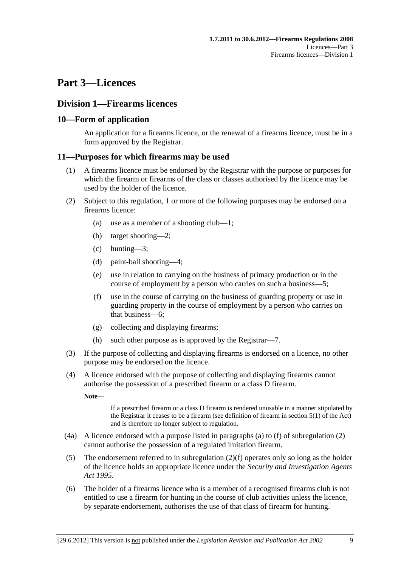## <span id="page-8-0"></span>**Part 3—Licences**

### **Division 1—Firearms licences**

### **10—Form of application**

An application for a firearms licence, or the renewal of a firearms licence, must be in a form approved by the Registrar.

#### **11—Purposes for which firearms may be used**

- (1) A firearms licence must be endorsed by the Registrar with the purpose or purposes for which the firearm or firearms of the class or classes authorised by the licence may be used by the holder of the licence.
- (2) Subject to this regulation, 1 or more of the following purposes may be endorsed on a firearms licence:
	- (a) use as a member of a shooting club—1;
	- (b) target shooting—2;
	- (c) hunting—3;
	- (d) paint-ball shooting—4;
	- (e) use in relation to carrying on the business of primary production or in the course of employment by a person who carries on such a business—5;
	- (f) use in the course of carrying on the business of guarding property or use in guarding property in the course of employment by a person who carries on that business—6;
	- (g) collecting and displaying firearms;
	- (h) such other purpose as is approved by the Registrar—7.
- (3) If the purpose of collecting and displaying firearms is endorsed on a licence, no other purpose may be endorsed on the licence.
- (4) A licence endorsed with the purpose of collecting and displaying firearms cannot authorise the possession of a prescribed firearm or a class D firearm.

**Note—** 

If a prescribed firearm or a class D firearm is rendered unusable in a manner stipulated by the Registrar it ceases to be a firearm (see definition of firearm in section 5(1) of the Act) and is therefore no longer subject to regulation.

- (4a) A licence endorsed with a purpose listed in paragraphs [\(a\)](#page-8-0) to [\(f\)](#page-8-0) of [subregulation \(2\)](#page-8-0)  cannot authorise the possession of a regulated imitation firearm.
- (5) The endorsement referred to in subregulation  $(2)(f)$  operates only so long as the holder of the licence holds an appropriate licence under the *[Security and Investigation Agents](http://www.legislation.sa.gov.au/index.aspx?action=legref&type=act&legtitle=Security%20and%20Investigation%20Agents%20Act%201995)  [Act 1995](http://www.legislation.sa.gov.au/index.aspx?action=legref&type=act&legtitle=Security%20and%20Investigation%20Agents%20Act%201995)*.
- (6) The holder of a firearms licence who is a member of a recognised firearms club is not entitled to use a firearm for hunting in the course of club activities unless the licence, by separate endorsement, authorises the use of that class of firearm for hunting.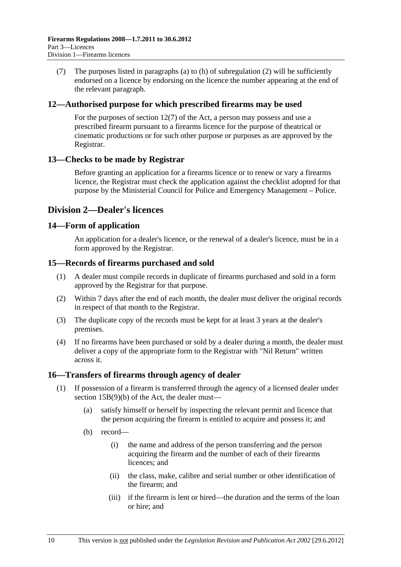<span id="page-9-0"></span> (7) The purposes listed in [paragraphs \(a\)](#page-8-0) to [\(h\)](#page-8-0) of [subregulation \(2\)](#page-8-0) will be sufficiently endorsed on a licence by endorsing on the licence the number appearing at the end of the relevant paragraph.

#### **12—Authorised purpose for which prescribed firearms may be used**

For the purposes of section 12(7) of the Act, a person may possess and use a prescribed firearm pursuant to a firearms licence for the purpose of theatrical or cinematic productions or for such other purpose or purposes as are approved by the Registrar.

#### **13—Checks to be made by Registrar**

Before granting an application for a firearms licence or to renew or vary a firearms licence, the Registrar must check the application against the checklist adopted for that purpose by the Ministerial Council for Police and Emergency Management – Police.

### **Division 2—Dealer's licences**

#### **14—Form of application**

An application for a dealer's licence, or the renewal of a dealer's licence, must be in a form approved by the Registrar.

#### **15—Records of firearms purchased and sold**

- (1) A dealer must compile records in duplicate of firearms purchased and sold in a form approved by the Registrar for that purpose.
- (2) Within 7 days after the end of each month, the dealer must deliver the original records in respect of that month to the Registrar.
- (3) The duplicate copy of the records must be kept for at least 3 years at the dealer's premises.
- (4) If no firearms have been purchased or sold by a dealer during a month, the dealer must deliver a copy of the appropriate form to the Registrar with "Nil Return" written across it.

#### **16—Transfers of firearms through agency of dealer**

- (1) If possession of a firearm is transferred through the agency of a licensed dealer under section 15B(9)(b) of the Act, the dealer must—
	- (a) satisfy himself or herself by inspecting the relevant permit and licence that the person acquiring the firearm is entitled to acquire and possess it; and
	- (b) record—
		- (i) the name and address of the person transferring and the person acquiring the firearm and the number of each of their firearms licences; and
		- (ii) the class, make, calibre and serial number or other identification of the firearm; and
		- (iii) if the firearm is lent or hired—the duration and the terms of the loan or hire; and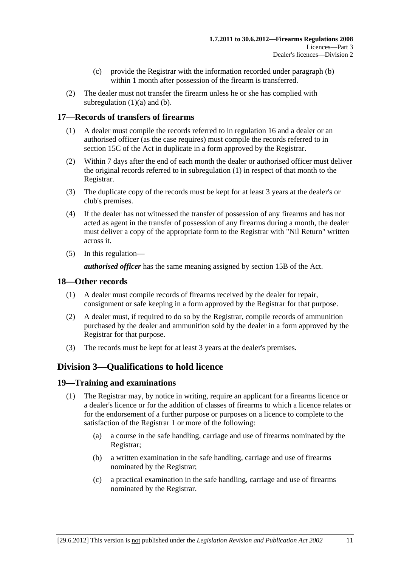- (c) provide the Registrar with the information recorded under [paragraph \(b\)](#page-9-0) within 1 month after possession of the firearm is transferred.
- <span id="page-10-0"></span> (2) The dealer must not transfer the firearm unless he or she has complied with subregulation  $(1)(a)$  and  $(b)$ .

### **17—Records of transfers of firearms**

- (1) A dealer must compile the records referred to in [regulation 16](#page-9-0) and a dealer or an authorised officer (as the case requires) must compile the records referred to in section 15C of the Act in duplicate in a form approved by the Registrar.
- (2) Within 7 days after the end of each month the dealer or authorised officer must deliver the original records referred to in [subregulation \(1\)](#page-10-0) in respect of that month to the Registrar.
- (3) The duplicate copy of the records must be kept for at least 3 years at the dealer's or club's premises.
- (4) If the dealer has not witnessed the transfer of possession of any firearms and has not acted as agent in the transfer of possession of any firearms during a month, the dealer must deliver a copy of the appropriate form to the Registrar with "Nil Return" written across it.
- (5) In this regulation—

*authorised officer* has the same meaning assigned by section 15B of the Act.

#### **18—Other records**

- (1) A dealer must compile records of firearms received by the dealer for repair, consignment or safe keeping in a form approved by the Registrar for that purpose.
- (2) A dealer must, if required to do so by the Registrar, compile records of ammunition purchased by the dealer and ammunition sold by the dealer in a form approved by the Registrar for that purpose.
- (3) The records must be kept for at least 3 years at the dealer's premises.

### **Division 3—Qualifications to hold licence**

#### **19—Training and examinations**

- (1) The Registrar may, by notice in writing, require an applicant for a firearms licence or a dealer's licence or for the addition of classes of firearms to which a licence relates or for the endorsement of a further purpose or purposes on a licence to complete to the satisfaction of the Registrar 1 or more of the following:
	- (a) a course in the safe handling, carriage and use of firearms nominated by the Registrar;
	- (b) a written examination in the safe handling, carriage and use of firearms nominated by the Registrar;
	- (c) a practical examination in the safe handling, carriage and use of firearms nominated by the Registrar.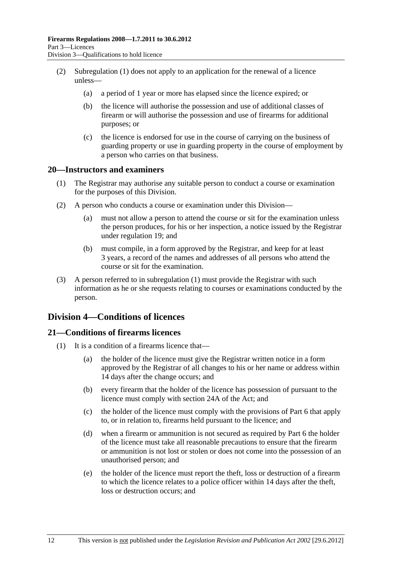- <span id="page-11-0"></span> (2) [Subregulation \(1\)](#page-10-0) does not apply to an application for the renewal of a licence unless—
	- (a) a period of 1 year or more has elapsed since the licence expired; or
	- (b) the licence will authorise the possession and use of additional classes of firearm or will authorise the possession and use of firearms for additional purposes; or
	- (c) the licence is endorsed for use in the course of carrying on the business of guarding property or use in guarding property in the course of employment by a person who carries on that business.

#### **20—Instructors and examiners**

- (1) The Registrar may authorise any suitable person to conduct a course or examination for the purposes of this Division.
- (2) A person who conducts a course or examination under this Division—
	- (a) must not allow a person to attend the course or sit for the examination unless the person produces, for his or her inspection, a notice issued by the Registrar under [regulation 19](#page-10-0); and
	- (b) must compile, in a form approved by the Registrar, and keep for at least 3 years, a record of the names and addresses of all persons who attend the course or sit for the examination.
- (3) A person referred to in [subregulation \(1\)](#page-11-0) must provide the Registrar with such information as he or she requests relating to courses or examinations conducted by the person.

### **Division 4—Conditions of licences**

### **21—Conditions of firearms licences**

- (1) It is a condition of a firearms licence that—
	- (a) the holder of the licence must give the Registrar written notice in a form approved by the Registrar of all changes to his or her name or address within 14 days after the change occurs; and
	- (b) every firearm that the holder of the licence has possession of pursuant to the licence must comply with section 24A of the Act; and
	- (c) the holder of the licence must comply with the provisions of [Part 6](#page-21-0) that apply to, or in relation to, firearms held pursuant to the licence; and
	- (d) when a firearm or ammunition is not secured as required by [Part 6](#page-21-0) the holder of the licence must take all reasonable precautions to ensure that the firearm or ammunition is not lost or stolen or does not come into the possession of an unauthorised person; and
	- (e) the holder of the licence must report the theft, loss or destruction of a firearm to which the licence relates to a police officer within 14 days after the theft, loss or destruction occurs; and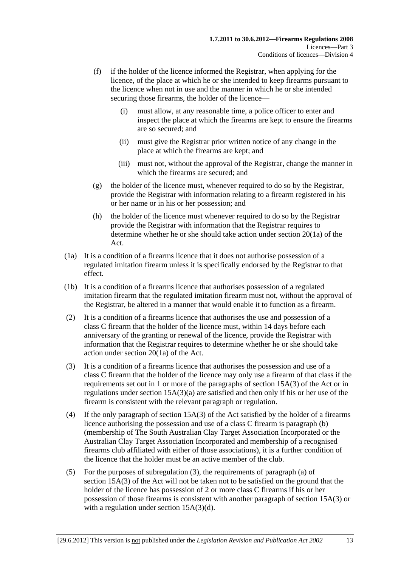- <span id="page-12-0"></span> (f) if the holder of the licence informed the Registrar, when applying for the licence, of the place at which he or she intended to keep firearms pursuant to the licence when not in use and the manner in which he or she intended securing those firearms, the holder of the licence—
	- (i) must allow, at any reasonable time, a police officer to enter and inspect the place at which the firearms are kept to ensure the firearms are so secured; and
	- (ii) must give the Registrar prior written notice of any change in the place at which the firearms are kept; and
	- (iii) must not, without the approval of the Registrar, change the manner in which the firearms are secured; and
- (g) the holder of the licence must, whenever required to do so by the Registrar, provide the Registrar with information relating to a firearm registered in his or her name or in his or her possession; and
- (h) the holder of the licence must whenever required to do so by the Registrar provide the Registrar with information that the Registrar requires to determine whether he or she should take action under section 20(1a) of the Act.
- (1a) It is a condition of a firearms licence that it does not authorise possession of a regulated imitation firearm unless it is specifically endorsed by the Registrar to that effect.
- (1b) It is a condition of a firearms licence that authorises possession of a regulated imitation firearm that the regulated imitation firearm must not, without the approval of the Registrar, be altered in a manner that would enable it to function as a firearm.
- (2) It is a condition of a firearms licence that authorises the use and possession of a class C firearm that the holder of the licence must, within 14 days before each anniversary of the granting or renewal of the licence, provide the Registrar with information that the Registrar requires to determine whether he or she should take action under section 20(1a) of the Act.
- (3) It is a condition of a firearms licence that authorises the possession and use of a class C firearm that the holder of the licence may only use a firearm of that class if the requirements set out in 1 or more of the paragraphs of section 15A(3) of the Act or in regulations under section 15A(3)(a) are satisfied and then only if his or her use of the firearm is consistent with the relevant paragraph or regulation.
- (4) If the only paragraph of section 15A(3) of the Act satisfied by the holder of a firearms licence authorising the possession and use of a class C firearm is paragraph (b) (membership of The South Australian Clay Target Association Incorporated or the Australian Clay Target Association Incorporated and membership of a recognised firearms club affiliated with either of those associations), it is a further condition of the licence that the holder must be an active member of the club.
- (5) For the purposes of [subregulation \(3\),](#page-12-0) the requirements of paragraph (a) of section 15A(3) of the Act will not be taken not to be satisfied on the ground that the holder of the licence has possession of 2 or more class C firearms if his or her possession of those firearms is consistent with another paragraph of section 15A(3) or with a regulation under section 15A(3)(d).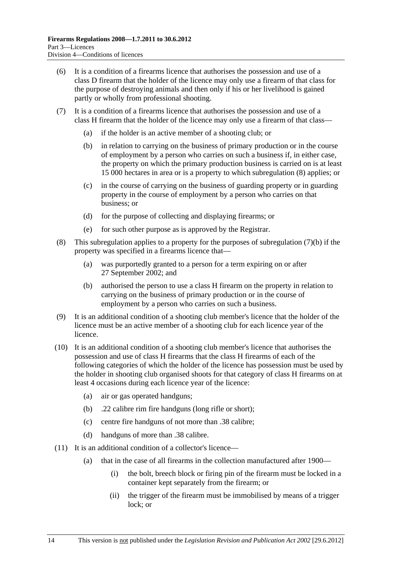- <span id="page-13-0"></span> (6) It is a condition of a firearms licence that authorises the possession and use of a class D firearm that the holder of the licence may only use a firearm of that class for the purpose of destroying animals and then only if his or her livelihood is gained partly or wholly from professional shooting.
- (7) It is a condition of a firearms licence that authorises the possession and use of a class H firearm that the holder of the licence may only use a firearm of that class—
	- (a) if the holder is an active member of a shooting club; or
	- (b) in relation to carrying on the business of primary production or in the course of employment by a person who carries on such a business if, in either case, the property on which the primary production business is carried on is at least 15 000 hectares in area or is a property to which [subregulation \(8\)](#page-13-0) applies; or
	- (c) in the course of carrying on the business of guarding property or in guarding property in the course of employment by a person who carries on that business; or
	- (d) for the purpose of collecting and displaying firearms; or
	- (e) for such other purpose as is approved by the Registrar.
- (8) This subregulation applies to a property for the purposes of [subregulation \(7\)\(b\)](#page-13-0) if the property was specified in a firearms licence that—
	- (a) was purportedly granted to a person for a term expiring on or after 27 September 2002; and
	- (b) authorised the person to use a class H firearm on the property in relation to carrying on the business of primary production or in the course of employment by a person who carries on such a business.
- (9) It is an additional condition of a shooting club member's licence that the holder of the licence must be an active member of a shooting club for each licence year of the licence.
- (10) It is an additional condition of a shooting club member's licence that authorises the possession and use of class H firearms that the class H firearms of each of the following categories of which the holder of the licence has possession must be used by the holder in shooting club organised shoots for that category of class H firearms on at least 4 occasions during each licence year of the licence:
	- (a) air or gas operated handguns;
	- (b) .22 calibre rim fire handguns (long rifle or short);
	- (c) centre fire handguns of not more than .38 calibre;
	- (d) handguns of more than .38 calibre.
- (11) It is an additional condition of a collector's licence—
	- (a) that in the case of all firearms in the collection manufactured after 1900—
		- (i) the bolt, breech block or firing pin of the firearm must be locked in a container kept separately from the firearm; or
		- (ii) the trigger of the firearm must be immobilised by means of a trigger lock; or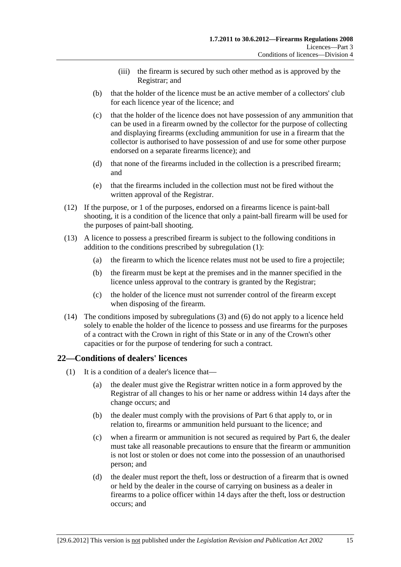- (iii) the firearm is secured by such other method as is approved by the Registrar; and
- <span id="page-14-0"></span> (b) that the holder of the licence must be an active member of a collectors' club for each licence year of the licence; and
- (c) that the holder of the licence does not have possession of any ammunition that can be used in a firearm owned by the collector for the purpose of collecting and displaying firearms (excluding ammunition for use in a firearm that the collector is authorised to have possession of and use for some other purpose endorsed on a separate firearms licence); and
- (d) that none of the firearms included in the collection is a prescribed firearm; and
- (e) that the firearms included in the collection must not be fired without the written approval of the Registrar.
- (12) If the purpose, or 1 of the purposes, endorsed on a firearms licence is paint-ball shooting, it is a condition of the licence that only a paint-ball firearm will be used for the purposes of paint-ball shooting.
- (13) A licence to possess a prescribed firearm is subject to the following conditions in addition to the conditions prescribed by [subregulation \(1\):](#page-11-0)
	- (a) the firearm to which the licence relates must not be used to fire a projectile;
	- (b) the firearm must be kept at the premises and in the manner specified in the licence unless approval to the contrary is granted by the Registrar;
	- (c) the holder of the licence must not surrender control of the firearm except when disposing of the firearm.
- (14) The conditions imposed by [subregulations \(3\)](#page-12-0) and [\(6\)](#page-13-0) do not apply to a licence held solely to enable the holder of the licence to possess and use firearms for the purposes of a contract with the Crown in right of this State or in any of the Crown's other capacities or for the purpose of tendering for such a contract.

#### **22—Conditions of dealers' licences**

- (1) It is a condition of a dealer's licence that—
	- (a) the dealer must give the Registrar written notice in a form approved by the Registrar of all changes to his or her name or address within 14 days after the change occurs; and
	- (b) the dealer must comply with the provisions of [Part 6](#page-21-0) that apply to, or in relation to, firearms or ammunition held pursuant to the licence; and
	- (c) when a firearm or ammunition is not secured as required by [Part 6](#page-21-0), the dealer must take all reasonable precautions to ensure that the firearm or ammunition is not lost or stolen or does not come into the possession of an unauthorised person; and
	- (d) the dealer must report the theft, loss or destruction of a firearm that is owned or held by the dealer in the course of carrying on business as a dealer in firearms to a police officer within 14 days after the theft, loss or destruction occurs; and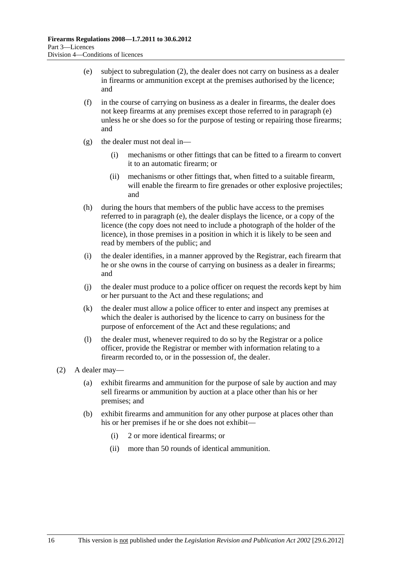- <span id="page-15-0"></span> (e) subject to [subregulation \(2\)](#page-15-0), the dealer does not carry on business as a dealer in firearms or ammunition except at the premises authorised by the licence; and
- (f) in the course of carrying on business as a dealer in firearms, the dealer does not keep firearms at any premises except those referred to in [paragraph \(e\)](#page-15-0)  unless he or she does so for the purpose of testing or repairing those firearms; and
- (g) the dealer must not deal in—
	- (i) mechanisms or other fittings that can be fitted to a firearm to convert it to an automatic firearm; or
	- (ii) mechanisms or other fittings that, when fitted to a suitable firearm, will enable the firearm to fire grenades or other explosive projectiles; and
- (h) during the hours that members of the public have access to the premises referred to in [paragraph \(e\),](#page-15-0) the dealer displays the licence, or a copy of the licence (the copy does not need to include a photograph of the holder of the licence), in those premises in a position in which it is likely to be seen and read by members of the public; and
- (i) the dealer identifies, in a manner approved by the Registrar, each firearm that he or she owns in the course of carrying on business as a dealer in firearms; and
- (j) the dealer must produce to a police officer on request the records kept by him or her pursuant to the Act and these regulations; and
- (k) the dealer must allow a police officer to enter and inspect any premises at which the dealer is authorised by the licence to carry on business for the purpose of enforcement of the Act and these regulations; and
- (l) the dealer must, whenever required to do so by the Registrar or a police officer, provide the Registrar or member with information relating to a firearm recorded to, or in the possession of, the dealer.
- (2) A dealer may—
	- (a) exhibit firearms and ammunition for the purpose of sale by auction and may sell firearms or ammunition by auction at a place other than his or her premises; and
	- (b) exhibit firearms and ammunition for any other purpose at places other than his or her premises if he or she does not exhibit—
		- (i) 2 or more identical firearms; or
		- (ii) more than 50 rounds of identical ammunition.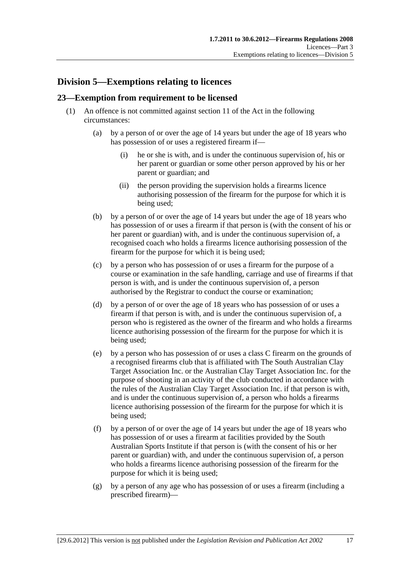### <span id="page-16-0"></span>**Division 5—Exemptions relating to licences**

### **23—Exemption from requirement to be licensed**

- (1) An offence is not committed against section 11 of the Act in the following circumstances:
	- (a) by a person of or over the age of 14 years but under the age of 18 years who has possession of or uses a registered firearm if—
		- (i) he or she is with, and is under the continuous supervision of, his or her parent or guardian or some other person approved by his or her parent or guardian; and
		- (ii) the person providing the supervision holds a firearms licence authorising possession of the firearm for the purpose for which it is being used;
	- (b) by a person of or over the age of 14 years but under the age of 18 years who has possession of or uses a firearm if that person is (with the consent of his or her parent or guardian) with, and is under the continuous supervision of, a recognised coach who holds a firearms licence authorising possession of the firearm for the purpose for which it is being used;
	- (c) by a person who has possession of or uses a firearm for the purpose of a course or examination in the safe handling, carriage and use of firearms if that person is with, and is under the continuous supervision of, a person authorised by the Registrar to conduct the course or examination;
	- (d) by a person of or over the age of 18 years who has possession of or uses a firearm if that person is with, and is under the continuous supervision of, a person who is registered as the owner of the firearm and who holds a firearms licence authorising possession of the firearm for the purpose for which it is being used;
	- (e) by a person who has possession of or uses a class C firearm on the grounds of a recognised firearms club that is affiliated with The South Australian Clay Target Association Inc. or the Australian Clay Target Association Inc. for the purpose of shooting in an activity of the club conducted in accordance with the rules of the Australian Clay Target Association Inc. if that person is with, and is under the continuous supervision of, a person who holds a firearms licence authorising possession of the firearm for the purpose for which it is being used;
	- (f) by a person of or over the age of 14 years but under the age of 18 years who has possession of or uses a firearm at facilities provided by the South Australian Sports Institute if that person is (with the consent of his or her parent or guardian) with, and under the continuous supervision of, a person who holds a firearms licence authorising possession of the firearm for the purpose for which it is being used;
	- (g) by a person of any age who has possession of or uses a firearm (including a prescribed firearm)—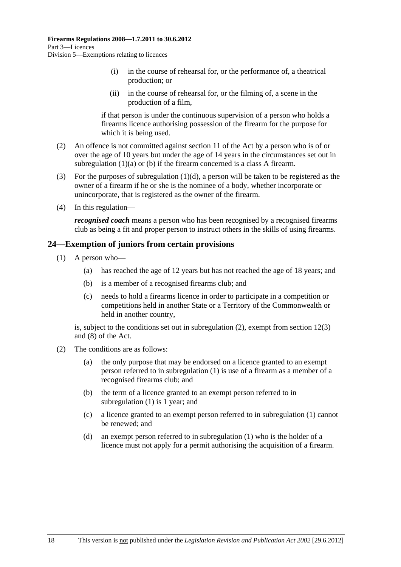- <span id="page-17-0"></span> (i) in the course of rehearsal for, or the performance of, a theatrical production; or
- (ii) in the course of rehearsal for, or the filming of, a scene in the production of a film,

if that person is under the continuous supervision of a person who holds a firearms licence authorising possession of the firearm for the purpose for which it is being used.

- (2) An offence is not committed against section 11 of the Act by a person who is of or over the age of 10 years but under the age of 14 years in the circumstances set out in [subregulation \(1\)\(a\)](#page-16-0) or [\(b\)](#page-16-0) if the firearm concerned is a class A firearm.
- (3) For the purposes of subregulation  $(1)(d)$ , a person will be taken to be registered as the owner of a firearm if he or she is the nominee of a body, whether incorporate or unincorporate, that is registered as the owner of the firearm.
- (4) In this regulation—

*recognised coach* means a person who has been recognised by a recognised firearms club as being a fit and proper person to instruct others in the skills of using firearms.

#### **24—Exemption of juniors from certain provisions**

- (1) A person who—
	- (a) has reached the age of 12 years but has not reached the age of 18 years; and
	- (b) is a member of a recognised firearms club; and
	- (c) needs to hold a firearms licence in order to participate in a competition or competitions held in another State or a Territory of the Commonwealth or held in another country,

is, subject to the conditions set out in [subregulation \(2\)](#page-17-0), exempt from section 12(3) and (8) of the Act.

- (2) The conditions are as follows:
	- (a) the only purpose that may be endorsed on a licence granted to an exempt person referred to in [subregulation \(1\)](#page-17-0) is use of a firearm as a member of a recognised firearms club; and
	- (b) the term of a licence granted to an exempt person referred to in [subregulation \(1\)](#page-17-0) is 1 year; and
	- (c) a licence granted to an exempt person referred to in [subregulation \(1\)](#page-17-0) cannot be renewed; and
	- (d) an exempt person referred to in [subregulation \(1\)](#page-17-0) who is the holder of a licence must not apply for a permit authorising the acquisition of a firearm.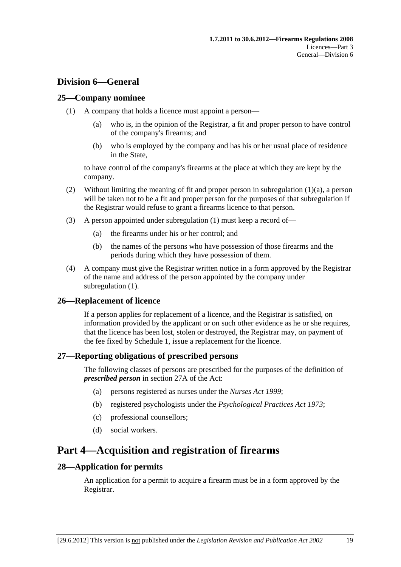### <span id="page-18-0"></span>**Division 6—General**

### **25—Company nominee**

- (1) A company that holds a licence must appoint a person—
	- (a) who is, in the opinion of the Registrar, a fit and proper person to have control of the company's firearms; and
	- (b) who is employed by the company and has his or her usual place of residence in the State,

to have control of the company's firearms at the place at which they are kept by the company.

- (2) Without limiting the meaning of fit and proper person in [subregulation \(1\)\(a\),](#page-18-0) a person will be taken not to be a fit and proper person for the purposes of that subregulation if the Registrar would refuse to grant a firearms licence to that person.
- (3) A person appointed under [subregulation \(1\)](#page-18-0) must keep a record of—
	- (a) the firearms under his or her control; and
	- (b) the names of the persons who have possession of those firearms and the periods during which they have possession of them.
- (4) A company must give the Registrar written notice in a form approved by the Registrar of the name and address of the person appointed by the company under [subregulation \(1\).](#page-18-0)

### **26—Replacement of licence**

If a person applies for replacement of a licence, and the Registrar is satisfied, on information provided by the applicant or on such other evidence as he or she requires, that the licence has been lost, stolen or destroyed, the Registrar may, on payment of the fee fixed by [Schedule 1](#page-28-0), issue a replacement for the licence.

#### **27—Reporting obligations of prescribed persons**

The following classes of persons are prescribed for the purposes of the definition of *prescribed person* in section 27A of the Act:

- (a) persons registered as nurses under the *[Nurses Act 1999](http://www.legislation.sa.gov.au/index.aspx?action=legref&type=act&legtitle=Nurses%20Act%201999)*;
- (b) registered psychologists under the *[Psychological Practices Act 1973](http://www.legislation.sa.gov.au/index.aspx?action=legref&type=act&legtitle=Psychological%20Practices%20Act%201973)*;
- (c) professional counsellors;
- (d) social workers.

## **Part 4—Acquisition and registration of firearms**

#### **28—Application for permits**

An application for a permit to acquire a firearm must be in a form approved by the Registrar.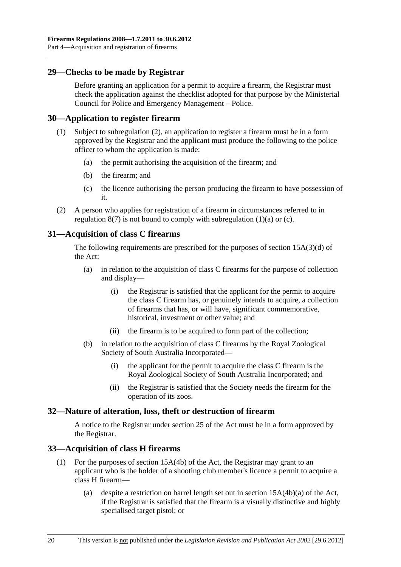#### <span id="page-19-0"></span>**29—Checks to be made by Registrar**

Before granting an application for a permit to acquire a firearm, the Registrar must check the application against the checklist adopted for that purpose by the Ministerial Council for Police and Emergency Management – Police.

#### **30—Application to register firearm**

- (1) Subject to [subregulation \(2\),](#page-19-0) an application to register a firearm must be in a form approved by the Registrar and the applicant must produce the following to the police officer to whom the application is made:
	- (a) the permit authorising the acquisition of the firearm; and
	- (b) the firearm; and
	- (c) the licence authorising the person producing the firearm to have possession of it.
- (2) A person who applies for registration of a firearm in circumstances referred to in regulation  $8(7)$  is not bound to comply with subregulation  $(1)(a)$  or  $(c)$ .

### **31—Acquisition of class C firearms**

The following requirements are prescribed for the purposes of section 15A(3)(d) of the Act:

- (a) in relation to the acquisition of class C firearms for the purpose of collection and display—
	- (i) the Registrar is satisfied that the applicant for the permit to acquire the class C firearm has, or genuinely intends to acquire, a collection of firearms that has, or will have, significant commemorative, historical, investment or other value; and
	- (ii) the firearm is to be acquired to form part of the collection;
- (b) in relation to the acquisition of class C firearms by the Royal Zoological Society of South Australia Incorporated—
	- (i) the applicant for the permit to acquire the class C firearm is the Royal Zoological Society of South Australia Incorporated; and
	- (ii) the Registrar is satisfied that the Society needs the firearm for the operation of its zoos.

#### **32—Nature of alteration, loss, theft or destruction of firearm**

A notice to the Registrar under section 25 of the Act must be in a form approved by the Registrar.

#### **33—Acquisition of class H firearms**

- (1) For the purposes of section 15A(4b) of the Act, the Registrar may grant to an applicant who is the holder of a shooting club member's licence a permit to acquire a class H firearm—
	- (a) despite a restriction on barrel length set out in section 15A(4b)(a) of the Act, if the Registrar is satisfied that the firearm is a visually distinctive and highly specialised target pistol; or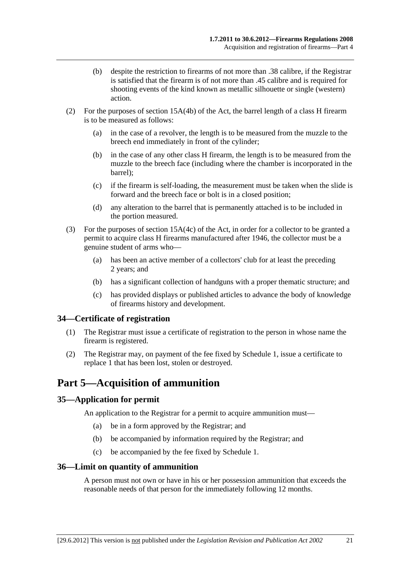- <span id="page-20-0"></span> (b) despite the restriction to firearms of not more than .38 calibre, if the Registrar is satisfied that the firearm is of not more than .45 calibre and is required for shooting events of the kind known as metallic silhouette or single (western) action.
- (2) For the purposes of section 15A(4b) of the Act, the barrel length of a class H firearm is to be measured as follows:
	- (a) in the case of a revolver, the length is to be measured from the muzzle to the breech end immediately in front of the cylinder;
	- (b) in the case of any other class H firearm, the length is to be measured from the muzzle to the breech face (including where the chamber is incorporated in the barrel);
	- (c) if the firearm is self-loading, the measurement must be taken when the slide is forward and the breech face or bolt is in a closed position;
	- (d) any alteration to the barrel that is permanently attached is to be included in the portion measured.
- (3) For the purposes of section 15A(4c) of the Act, in order for a collector to be granted a permit to acquire class H firearms manufactured after 1946, the collector must be a genuine student of arms who—
	- (a) has been an active member of a collectors' club for at least the preceding 2 years; and
	- (b) has a significant collection of handguns with a proper thematic structure; and
	- (c) has provided displays or published articles to advance the body of knowledge of firearms history and development.

#### **34—Certificate of registration**

- (1) The Registrar must issue a certificate of registration to the person in whose name the firearm is registered.
- (2) The Registrar may, on payment of the fee fixed by [Schedule 1,](#page-28-0) issue a certificate to replace 1 that has been lost, stolen or destroyed.

## **Part 5—Acquisition of ammunition**

#### **35—Application for permit**

An application to the Registrar for a permit to acquire ammunition must—

- (a) be in a form approved by the Registrar; and
- (b) be accompanied by information required by the Registrar; and
- (c) be accompanied by the fee fixed by [Schedule 1.](#page-28-0)

#### **36—Limit on quantity of ammunition**

A person must not own or have in his or her possession ammunition that exceeds the reasonable needs of that person for the immediately following 12 months.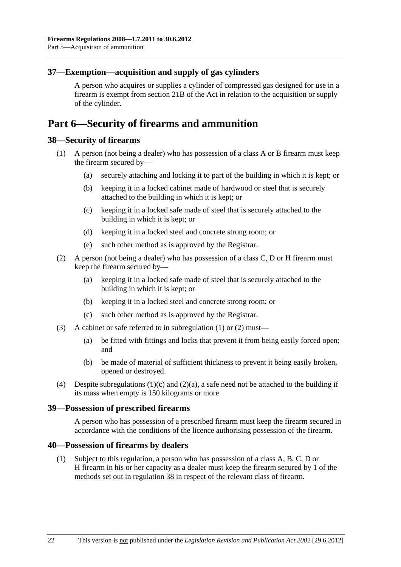#### <span id="page-21-0"></span>**37—Exemption—acquisition and supply of gas cylinders**

A person who acquires or supplies a cylinder of compressed gas designed for use in a firearm is exempt from section 21B of the Act in relation to the acquisition or supply of the cylinder.

## **Part 6—Security of firearms and ammunition**

#### **38—Security of firearms**

- (1) A person (not being a dealer) who has possession of a class A or B firearm must keep the firearm secured by—
	- (a) securely attaching and locking it to part of the building in which it is kept; or
	- (b) keeping it in a locked cabinet made of hardwood or steel that is securely attached to the building in which it is kept; or
	- (c) keeping it in a locked safe made of steel that is securely attached to the building in which it is kept; or
	- (d) keeping it in a locked steel and concrete strong room; or
	- (e) such other method as is approved by the Registrar.
- (2) A person (not being a dealer) who has possession of a class C, D or H firearm must keep the firearm secured by—
	- (a) keeping it in a locked safe made of steel that is securely attached to the building in which it is kept; or
	- (b) keeping it in a locked steel and concrete strong room; or
	- (c) such other method as is approved by the Registrar.
- (3) A cabinet or safe referred to in [subregulation \(1\)](#page-21-0) or [\(2\)](#page-21-0) must—
	- (a) be fitted with fittings and locks that prevent it from being easily forced open; and
	- (b) be made of material of sufficient thickness to prevent it being easily broken, opened or destroyed.
- (4) Despite subregulations  $(1)(c)$  and  $(2)(a)$ , a safe need not be attached to the building if its mass when empty is 150 kilograms or more.

#### **39—Possession of prescribed firearms**

A person who has possession of a prescribed firearm must keep the firearm secured in accordance with the conditions of the licence authorising possession of the firearm.

#### **40—Possession of firearms by dealers**

 (1) Subject to this regulation, a person who has possession of a class A, B, C, D or H firearm in his or her capacity as a dealer must keep the firearm secured by 1 of the methods set out in [regulation 38](#page-21-0) in respect of the relevant class of firearm.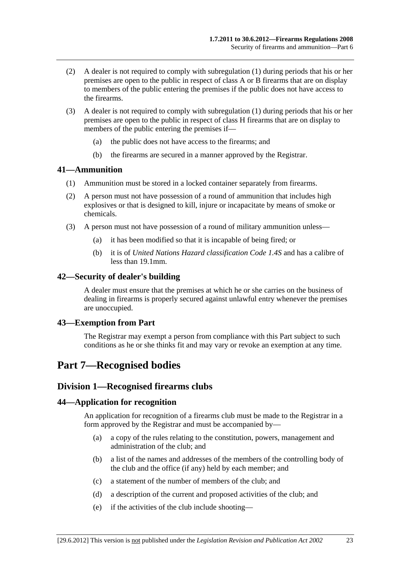- <span id="page-22-0"></span> (2) A dealer is not required to comply with [subregulation \(1\)](#page-21-0) during periods that his or her premises are open to the public in respect of class A or B firearms that are on display to members of the public entering the premises if the public does not have access to the firearms.
- (3) A dealer is not required to comply with [subregulation \(1\)](#page-21-0) during periods that his or her premises are open to the public in respect of class H firearms that are on display to members of the public entering the premises if—
	- (a) the public does not have access to the firearms; and
	- (b) the firearms are secured in a manner approved by the Registrar.

#### **41—Ammunition**

- (1) Ammunition must be stored in a locked container separately from firearms.
- (2) A person must not have possession of a round of ammunition that includes high explosives or that is designed to kill, injure or incapacitate by means of smoke or chemicals.
- (3) A person must not have possession of a round of military ammunition unless—
	- (a) it has been modified so that it is incapable of being fired; or
	- (b) it is of *United Nations Hazard classification Code 1.4S* and has a calibre of less than 19.1mm.

#### **42—Security of dealer's building**

A dealer must ensure that the premises at which he or she carries on the business of dealing in firearms is properly secured against unlawful entry whenever the premises are unoccupied.

#### **43—Exemption from Part**

The Registrar may exempt a person from compliance with this Part subject to such conditions as he or she thinks fit and may vary or revoke an exemption at any time.

## **Part 7—Recognised bodies**

#### **Division 1—Recognised firearms clubs**

#### **44—Application for recognition**

An application for recognition of a firearms club must be made to the Registrar in a form approved by the Registrar and must be accompanied by—

- (a) a copy of the rules relating to the constitution, powers, management and administration of the club; and
- (b) a list of the names and addresses of the members of the controlling body of the club and the office (if any) held by each member; and
- (c) a statement of the number of members of the club; and
- (d) a description of the current and proposed activities of the club; and
- (e) if the activities of the club include shooting—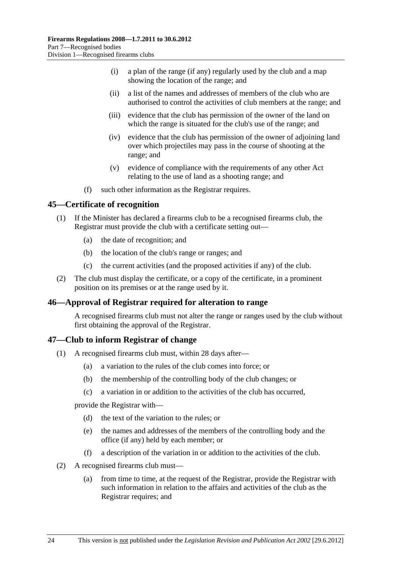- <span id="page-23-0"></span> (i) a plan of the range (if any) regularly used by the club and a map showing the location of the range; and
- (ii) a list of the names and addresses of members of the club who are authorised to control the activities of club members at the range; and
- (iii) evidence that the club has permission of the owner of the land on which the range is situated for the club's use of the range; and
- (iv) evidence that the club has permission of the owner of adjoining land over which projectiles may pass in the course of shooting at the range; and
- (v) evidence of compliance with the requirements of any other Act relating to the use of land as a shooting range; and
- (f) such other information as the Registrar requires.

#### **45—Certificate of recognition**

- (1) If the Minister has declared a firearms club to be a recognised firearms club, the Registrar must provide the club with a certificate setting out—
	- (a) the date of recognition; and
	- (b) the location of the club's range or ranges; and
	- (c) the current activities (and the proposed activities if any) of the club.
- (2) The club must display the certificate, or a copy of the certificate, in a prominent position on its premises or at the range used by it.

#### **46—Approval of Registrar required for alteration to range**

A recognised firearms club must not alter the range or ranges used by the club without first obtaining the approval of the Registrar.

#### **47—Club to inform Registrar of change**

- (1) A recognised firearms club must, within 28 days after—
	- (a) a variation to the rules of the club comes into force; or
	- (b) the membership of the controlling body of the club changes; or
	- (c) a variation in or addition to the activities of the club has occurred,

provide the Registrar with—

- (d) the text of the variation to the rules; or
- (e) the names and addresses of the members of the controlling body and the office (if any) held by each member; or
- (f) a description of the variation in or addition to the activities of the club.
- (2) A recognised firearms club must—
	- (a) from time to time, at the request of the Registrar, provide the Registrar with such information in relation to the affairs and activities of the club as the Registrar requires; and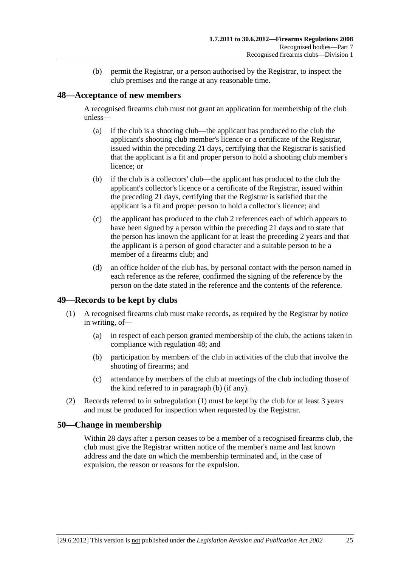(b) permit the Registrar, or a person authorised by the Registrar, to inspect the club premises and the range at any reasonable time.

#### <span id="page-24-0"></span>**48—Acceptance of new members**

A recognised firearms club must not grant an application for membership of the club unless—

- (a) if the club is a shooting club—the applicant has produced to the club the applicant's shooting club member's licence or a certificate of the Registrar, issued within the preceding 21 days, certifying that the Registrar is satisfied that the applicant is a fit and proper person to hold a shooting club member's licence; or
- (b) if the club is a collectors' club—the applicant has produced to the club the applicant's collector's licence or a certificate of the Registrar, issued within the preceding 21 days, certifying that the Registrar is satisfied that the applicant is a fit and proper person to hold a collector's licence; and
- (c) the applicant has produced to the club 2 references each of which appears to have been signed by a person within the preceding 21 days and to state that the person has known the applicant for at least the preceding 2 years and that the applicant is a person of good character and a suitable person to be a member of a firearms club; and
- (d) an office holder of the club has, by personal contact with the person named in each reference as the referee, confirmed the signing of the reference by the person on the date stated in the reference and the contents of the reference.

#### **49—Records to be kept by clubs**

- (1) A recognised firearms club must make records, as required by the Registrar by notice in writing, of—
	- (a) in respect of each person granted membership of the club, the actions taken in compliance with [regulation 48;](#page-24-0) and
	- (b) participation by members of the club in activities of the club that involve the shooting of firearms; and
	- (c) attendance by members of the club at meetings of the club including those of the kind referred to in [paragraph \(b\)](#page-24-0) (if any).
- (2) Records referred to in [subregulation \(1\)](#page-24-0) must be kept by the club for at least 3 years and must be produced for inspection when requested by the Registrar.

#### **50—Change in membership**

Within 28 days after a person ceases to be a member of a recognised firearms club, the club must give the Registrar written notice of the member's name and last known address and the date on which the membership terminated and, in the case of expulsion, the reason or reasons for the expulsion.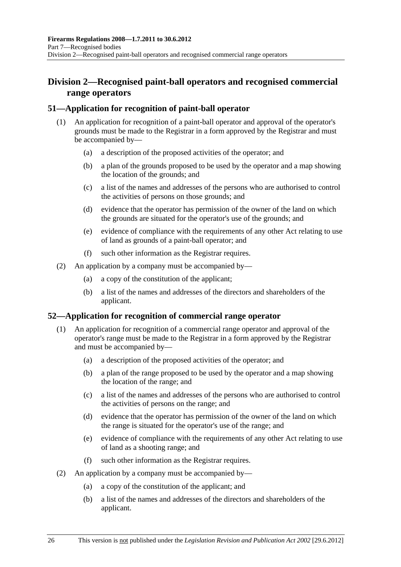### <span id="page-25-0"></span>**Division 2—Recognised paint-ball operators and recognised commercial range operators**

### **51—Application for recognition of paint-ball operator**

- (1) An application for recognition of a paint-ball operator and approval of the operator's grounds must be made to the Registrar in a form approved by the Registrar and must be accompanied by—
	- (a) a description of the proposed activities of the operator; and
	- (b) a plan of the grounds proposed to be used by the operator and a map showing the location of the grounds; and
	- (c) a list of the names and addresses of the persons who are authorised to control the activities of persons on those grounds; and
	- (d) evidence that the operator has permission of the owner of the land on which the grounds are situated for the operator's use of the grounds; and
	- (e) evidence of compliance with the requirements of any other Act relating to use of land as grounds of a paint-ball operator; and
	- (f) such other information as the Registrar requires.
- (2) An application by a company must be accompanied by—
	- (a) a copy of the constitution of the applicant;
	- (b) a list of the names and addresses of the directors and shareholders of the applicant.

#### **52—Application for recognition of commercial range operator**

- (1) An application for recognition of a commercial range operator and approval of the operator's range must be made to the Registrar in a form approved by the Registrar and must be accompanied by—
	- (a) a description of the proposed activities of the operator; and
	- (b) a plan of the range proposed to be used by the operator and a map showing the location of the range; and
	- (c) a list of the names and addresses of the persons who are authorised to control the activities of persons on the range; and
	- (d) evidence that the operator has permission of the owner of the land on which the range is situated for the operator's use of the range; and
	- (e) evidence of compliance with the requirements of any other Act relating to use of land as a shooting range; and
	- (f) such other information as the Registrar requires.
- (2) An application by a company must be accompanied by—
	- (a) a copy of the constitution of the applicant; and
	- (b) a list of the names and addresses of the directors and shareholders of the applicant.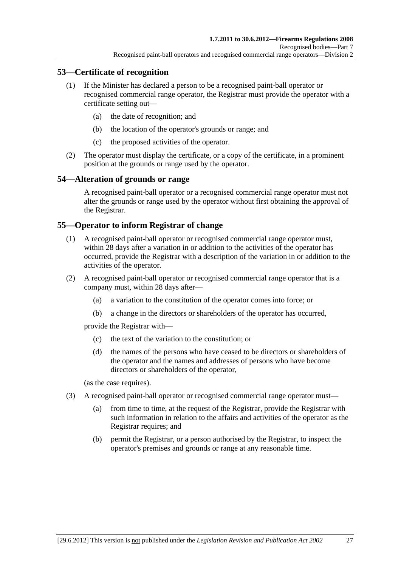### <span id="page-26-0"></span>**53—Certificate of recognition**

- (1) If the Minister has declared a person to be a recognised paint-ball operator or recognised commercial range operator, the Registrar must provide the operator with a certificate setting out—
	- (a) the date of recognition; and
	- (b) the location of the operator's grounds or range; and
	- (c) the proposed activities of the operator.
- (2) The operator must display the certificate, or a copy of the certificate, in a prominent position at the grounds or range used by the operator.

#### **54—Alteration of grounds or range**

A recognised paint-ball operator or a recognised commercial range operator must not alter the grounds or range used by the operator without first obtaining the approval of the Registrar.

#### **55—Operator to inform Registrar of change**

- (1) A recognised paint-ball operator or recognised commercial range operator must, within 28 days after a variation in or addition to the activities of the operator has occurred, provide the Registrar with a description of the variation in or addition to the activities of the operator.
- (2) A recognised paint-ball operator or recognised commercial range operator that is a company must, within 28 days after—
	- (a) a variation to the constitution of the operator comes into force; or
	- (b) a change in the directors or shareholders of the operator has occurred,

provide the Registrar with—

- (c) the text of the variation to the constitution; or
- (d) the names of the persons who have ceased to be directors or shareholders of the operator and the names and addresses of persons who have become directors or shareholders of the operator,

(as the case requires).

- (3) A recognised paint-ball operator or recognised commercial range operator must—
	- (a) from time to time, at the request of the Registrar, provide the Registrar with such information in relation to the affairs and activities of the operator as the Registrar requires; and
	- (b) permit the Registrar, or a person authorised by the Registrar, to inspect the operator's premises and grounds or range at any reasonable time.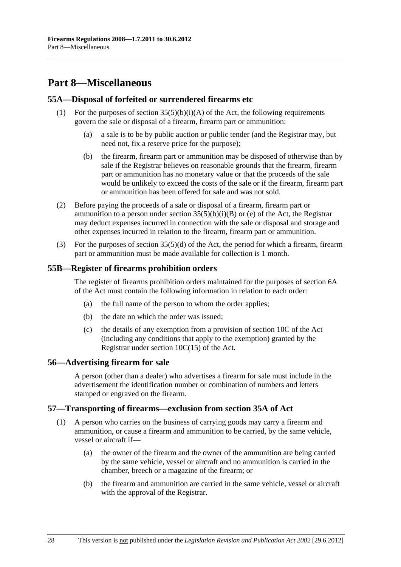## <span id="page-27-0"></span>**Part 8—Miscellaneous**

#### **55A—Disposal of forfeited or surrendered firearms etc**

- (1) For the purposes of section  $35(5)(b)(i)(A)$  of the Act, the following requirements govern the sale or disposal of a firearm, firearm part or ammunition:
	- (a) a sale is to be by public auction or public tender (and the Registrar may, but need not, fix a reserve price for the purpose);
	- (b) the firearm, firearm part or ammunition may be disposed of otherwise than by sale if the Registrar believes on reasonable grounds that the firearm, firearm part or ammunition has no monetary value or that the proceeds of the sale would be unlikely to exceed the costs of the sale or if the firearm, firearm part or ammunition has been offered for sale and was not sold.
- (2) Before paying the proceeds of a sale or disposal of a firearm, firearm part or ammunition to a person under section  $35(5)(b)(i)(B)$  or (e) of the Act, the Registrar may deduct expenses incurred in connection with the sale or disposal and storage and other expenses incurred in relation to the firearm, firearm part or ammunition.
- (3) For the purposes of section  $35(5)(d)$  of the Act, the period for which a firearm, firearm part or ammunition must be made available for collection is 1 month.

#### **55B—Register of firearms prohibition orders**

The register of firearms prohibition orders maintained for the purposes of section 6A of the Act must contain the following information in relation to each order:

- (a) the full name of the person to whom the order applies;
- (b) the date on which the order was issued;
- (c) the details of any exemption from a provision of section 10C of the Act (including any conditions that apply to the exemption) granted by the Registrar under section 10C(15) of the Act.

#### **56—Advertising firearm for sale**

A person (other than a dealer) who advertises a firearm for sale must include in the advertisement the identification number or combination of numbers and letters stamped or engraved on the firearm.

#### **57—Transporting of firearms—exclusion from section 35A of Act**

- (1) A person who carries on the business of carrying goods may carry a firearm and ammunition, or cause a firearm and ammunition to be carried, by the same vehicle, vessel or aircraft if—
	- (a) the owner of the firearm and the owner of the ammunition are being carried by the same vehicle, vessel or aircraft and no ammunition is carried in the chamber, breech or a magazine of the firearm; or
	- (b) the firearm and ammunition are carried in the same vehicle, vessel or aircraft with the approval of the Registrar.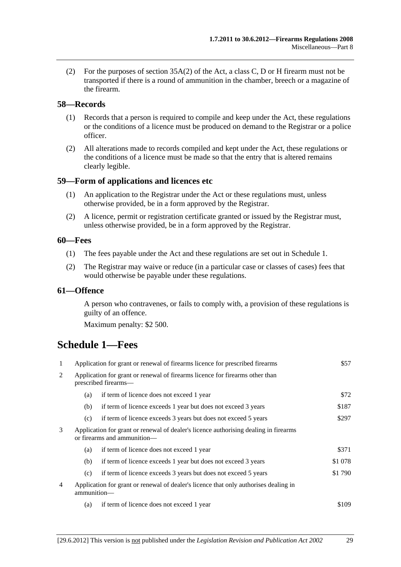<span id="page-28-0"></span> (2) For the purposes of section 35A(2) of the Act, a class C, D or H firearm must not be transported if there is a round of ammunition in the chamber, breech or a magazine of the firearm.

#### **58—Records**

- (1) Records that a person is required to compile and keep under the Act, these regulations or the conditions of a licence must be produced on demand to the Registrar or a police officer.
- (2) All alterations made to records compiled and kept under the Act, these regulations or the conditions of a licence must be made so that the entry that is altered remains clearly legible.

#### **59—Form of applications and licences etc**

- (1) An application to the Registrar under the Act or these regulations must, unless otherwise provided, be in a form approved by the Registrar.
- (2) A licence, permit or registration certificate granted or issued by the Registrar must, unless otherwise provided, be in a form approved by the Registrar.

#### **60—Fees**

- (1) The fees payable under the Act and these regulations are set out in [Schedule 1.](#page-28-0)
- (2) The Registrar may waive or reduce (in a particular case or classes of cases) fees that would otherwise be payable under these regulations.

#### **61—Offence**

A person who contravenes, or fails to comply with, a provision of these regulations is guilty of an offence.

Maximum penalty: \$2 500.

## **Schedule 1—Fees**

| 1 | Application for grant or renewal of firearms licence for prescribed firearms                                        |                                                                | \$57    |
|---|---------------------------------------------------------------------------------------------------------------------|----------------------------------------------------------------|---------|
| 2 | Application for grant or renewal of firearms licence for firearms other than<br>prescribed firearms—                |                                                                |         |
|   | (a)                                                                                                                 | if term of licence does not exceed 1 year                      | \$72    |
|   | (b)                                                                                                                 | if term of licence exceeds 1 year but does not exceed 3 years  | \$187   |
|   | (c)                                                                                                                 | if term of licence exceeds 3 years but does not exceed 5 years | \$297   |
| 3 | Application for grant or renewal of dealer's licence authorising dealing in firearms<br>or firearms and ammunition— |                                                                |         |
|   | (a)                                                                                                                 | if term of licence does not exceed 1 year                      | \$371   |
|   | (b)                                                                                                                 | if term of licence exceeds 1 year but does not exceed 3 years  | \$1 078 |
|   | (c)                                                                                                                 | if term of licence exceeds 3 years but does not exceed 5 years | \$1 790 |
| 4 | Application for grant or renewal of dealer's licence that only authorises dealing in<br>ammunition-                 |                                                                |         |
|   | (a)                                                                                                                 | if term of licence does not exceed 1 year                      | \$109   |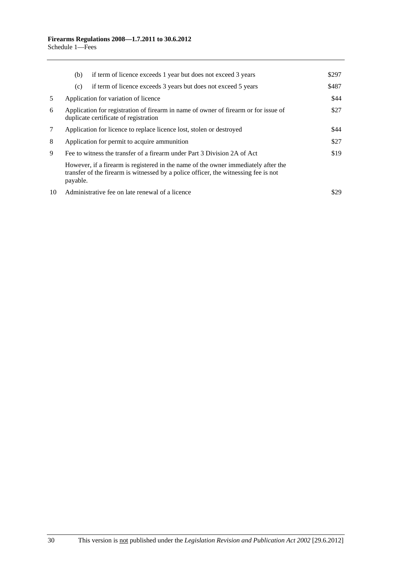|    | (b)                                                                                                                                  | if term of licence exceeds 1 year but does not exceed 3 years                                                                                                             | \$297 |
|----|--------------------------------------------------------------------------------------------------------------------------------------|---------------------------------------------------------------------------------------------------------------------------------------------------------------------------|-------|
|    | (c)                                                                                                                                  | if term of licence exceeds 3 years but does not exceed 5 years                                                                                                            | \$487 |
| 5  |                                                                                                                                      | Application for variation of licence                                                                                                                                      | \$44  |
| 6  | \$27<br>Application for registration of firearm in name of owner of firearm or for issue of<br>duplicate certificate of registration |                                                                                                                                                                           |       |
| 7  | Application for licence to replace licence lost, stolen or destroyed                                                                 |                                                                                                                                                                           | \$44  |
| 8  | Application for permit to acquire ammunition                                                                                         |                                                                                                                                                                           | \$27  |
| 9  | Fee to witness the transfer of a firearm under Part 3 Division 2A of Act                                                             |                                                                                                                                                                           | \$19  |
|    | payable.                                                                                                                             | However, if a firearm is registered in the name of the owner immediately after the<br>transfer of the firearm is witnessed by a police officer, the witnessing fee is not |       |
| 10 |                                                                                                                                      | Administrative fee on late renewal of a licence                                                                                                                           | \$29  |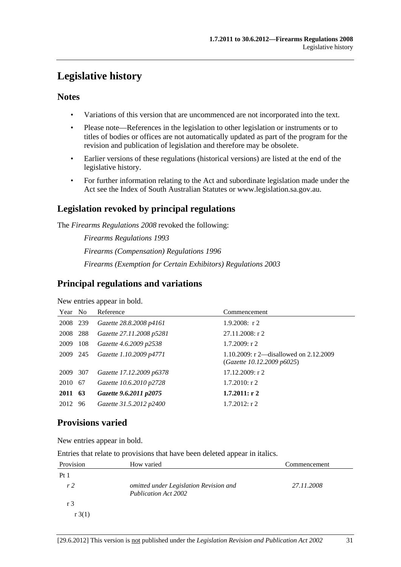## <span id="page-30-0"></span>**Legislative history**

#### **Notes**

- Variations of this version that are uncommenced are not incorporated into the text.
- Please note—References in the legislation to other legislation or instruments or to titles of bodies or offices are not automatically updated as part of the program for the revision and publication of legislation and therefore may be obsolete.
- Earlier versions of these regulations (historical versions) are listed at the end of the legislative history.
- For further information relating to the Act and subordinate legislation made under the Act see the Index of South Australian Statutes or www.legislation.sa.gov.au.

### **Legislation revoked by principal regulations**

The *Firearms Regulations 2008* revoked the following:

*Firearms Regulations 1993 Firearms (Compensation) Regulations 1996 Firearms (Exemption for Certain Exhibitors) Regulations 2003*

#### **Principal regulations and variations**

New entries appear in bold.

| Year No  |      | Reference                | Commencement                                                         |
|----------|------|--------------------------|----------------------------------------------------------------------|
| 2008 239 |      | Gazette 28.8.2008 p4161  | $1.9.2008$ : r 2                                                     |
| 2008     | 288  | Gazette 27.11.2008 p5281 | $27.11.2008$ : r 2                                                   |
| 2009     | 108  | Gazette 4.6.2009 p2538   | $1.7.2009$ : r 2                                                     |
| 2009 245 |      | Gazette 1.10.2009 p4771  | 1.10.2009: r 2—disallowed on 2.12.2009<br>(Gazette 10.12.2009 p6025) |
| 2009     | 307  | Gazette 17.12.2009 p6378 | $17.12.2009$ : r 2                                                   |
| 2010     | - 67 | Gazette 10.6.2010 p2728  | $1.7.2010$ : r 2                                                     |
| 2011     | 63   | Gazette 9.6.2011 p2075   | $1.7.2011:$ r 2                                                      |
| 2012     | 96   | Gazette 31.5.2012 p2400  | $1.7.2012$ : r 2                                                     |

### **Provisions varied**

New entries appear in bold.

Entries that relate to provisions that have been deleted appear in italics.

| Provision       | How varied                                                            | Commencement |
|-----------------|-----------------------------------------------------------------------|--------------|
| Pt <sub>1</sub> |                                                                       |              |
| r <sub>2</sub>  | omitted under Legislation Revision and<br><b>Publication Act 2002</b> | 27.11.2008   |
| r 3             |                                                                       |              |
| r3(1)           |                                                                       |              |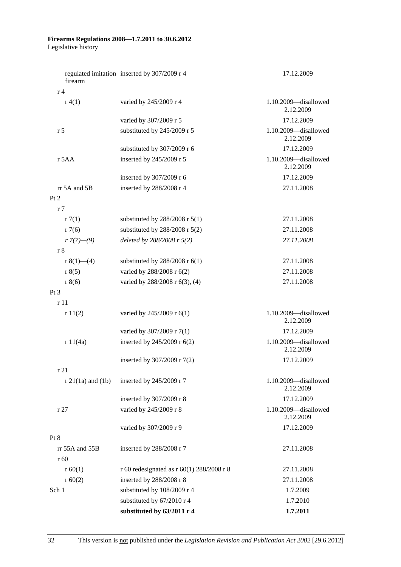#### **Firearms Regulations 2008—1.7.2011 to 30.6.2012**  Legislative history

| firearm               | regulated imitation inserted by 307/2009 r 4 | 17.12.2009                        |
|-----------------------|----------------------------------------------|-----------------------------------|
| r <sub>4</sub>        |                                              |                                   |
| r(4(1))               | varied by 245/2009 r 4                       | 1.10.2009-disallowed<br>2.12.2009 |
|                       | varied by 307/2009 r 5                       | 17.12.2009                        |
| r <sub>5</sub>        | substituted by 245/2009 r 5                  | 1.10.2009-disallowed<br>2.12.2009 |
|                       | substituted by 307/2009 r 6                  | 17.12.2009                        |
| r 5AA                 | inserted by 245/2009 r 5                     | 1.10.2009-disallowed<br>2.12.2009 |
|                       | inserted by 307/2009 r 6                     | 17.12.2009                        |
| rr 5A and 5B          | inserted by 288/2008 r 4                     | 27.11.2008                        |
| Pt 2                  |                                              |                                   |
| r <sub>7</sub>        |                                              |                                   |
| r7(1)                 | substituted by $288/2008$ r $5(1)$           | 27.11.2008                        |
| r7(6)                 | substituted by $288/2008$ r $5(2)$           | 27.11.2008                        |
| $r7(7)$ —(9)          | deleted by 288/2008 r 5(2)                   | 27.11.2008                        |
| r8                    |                                              |                                   |
| r $8(1)$ — $(4)$      | substituted by $288/2008$ r $6(1)$           | 27.11.2008                        |
| r 8(5)                | varied by 288/2008 r 6(2)                    | 27.11.2008                        |
| r 8(6)                | varied by 288/2008 r 6(3), (4)               | 27.11.2008                        |
| Pt <sub>3</sub>       |                                              |                                   |
| r 11                  |                                              |                                   |
| r11(2)                | varied by 245/2009 r 6(1)                    | 1.10.2009-disallowed<br>2.12.2009 |
|                       | varied by 307/2009 r 7(1)                    | 17.12.2009                        |
| r 11(4a)              | inserted by 245/2009 r 6(2)                  | 1.10.2009-disallowed<br>2.12.2009 |
|                       | inserted by 307/2009 r 7(2)                  | 17.12.2009                        |
| r 21                  |                                              |                                   |
| $r 21(1a)$ and $(1b)$ | inserted by 245/2009 r 7                     | 1.10.2009-disallowed<br>2.12.2009 |
|                       | inserted by 307/2009 r 8                     | 17.12.2009                        |
| r27                   | varied by 245/2009 r 8                       | 1.10.2009-disallowed<br>2.12.2009 |
|                       | varied by 307/2009 r 9                       | 17.12.2009                        |
| Pt 8                  |                                              |                                   |
| rr 55A and 55B<br>r60 | inserted by 288/2008 r 7                     | 27.11.2008                        |
| r 60(1)               | r 60 redesignated as r 60(1) 288/2008 r 8    | 27.11.2008                        |
| r 60(2)               | inserted by 288/2008 r 8                     | 27.11.2008                        |
| Sch 1                 | substituted by 108/2009 r 4                  | 1.7.2009                          |
|                       | substituted by 67/2010 r 4                   | 1.7.2010                          |
|                       | substituted by 63/2011 r 4                   | 1.7.2011                          |